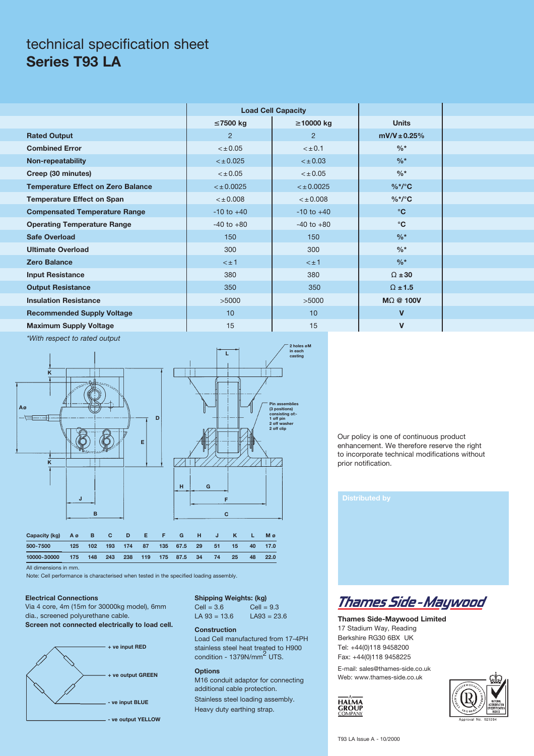### technical specification sheet **Series T93 LA**

|                                           |                | <b>Load Cell Capacity</b> |                  |  |
|-------------------------------------------|----------------|---------------------------|------------------|--|
|                                           | $\leq$ 7500 kg | $\geq$ 10000 kg           | <b>Units</b>     |  |
| <b>Rated Output</b>                       | 2              | $\overline{2}$            | $mV/V \pm 0.25%$ |  |
| <b>Combined Error</b>                     | $< \pm 0.05$   | $< \pm 0.1$               | $\frac{0}{6}$ *  |  |
| Non-repeatability                         | $< \pm 0.025$  | $< \pm 0.03$              | $\frac{0}{6}$ *  |  |
| Creep (30 minutes)                        | $< \pm 0.05$   | $< \pm 0.05$              | $\frac{0}{6}$ *  |  |
| <b>Temperature Effect on Zero Balance</b> | $<$ ± 0.0025   | $<$ ± 0.0025              | $%^*/^\circ$ C   |  |
| <b>Temperature Effect on Span</b>         | < 0.008        | < 0.008                   | $%^*/^\circ$ C   |  |
| <b>Compensated Temperature Range</b>      | $-10$ to $+40$ | $-10$ to $+40$            | $\rm ^{\circ}C$  |  |
| <b>Operating Temperature Range</b>        | $-40$ to $+80$ | $-40$ to $+80$            | $\rm ^{\circ}C$  |  |
| <b>Safe Overload</b>                      | 150            | 150                       | $\frac{9}{6}$ *  |  |
| <b>Ultimate Overload</b>                  | 300            | 300                       | $\frac{0}{6}$ *  |  |
| <b>Zero Balance</b>                       | $< \pm 1$      | $< \pm 1$                 | $\frac{0}{6}$ *  |  |
| <b>Input Resistance</b>                   | 380            | 380                       | $\Omega \pm 30$  |  |
| <b>Output Resistance</b>                  | 350            | 350                       | $\Omega$ ± 1.5   |  |
| <b>Insulation Resistance</b>              | >5000          | >5000                     | MO @ 100V        |  |
| <b>Recommended Supply Voltage</b>         | 10             | 10 <sup>°</sup>           | $\mathbf v$      |  |
| <b>Maximum Supply Voltage</b>             | 15             | 15                        | $\mathbf v$      |  |

*\*With respect to rated output*





| Capacity (kg) A ø B |     | C.      | DEN | F. | G                             | н |     |         |           | M ø     |
|---------------------|-----|---------|-----|----|-------------------------------|---|-----|---------|-----------|---------|
| 500-7500            | 125 |         |     |    | 102 193 174 87 135 67.5 29 51 |   |     | $15-15$ | <b>40</b> | 17.0    |
| 10000-30000         | 175 | 148 243 |     |    | 238 119 175 87.5 34           |   | -74 | 25      |           | 48 22.0 |

All dimensions in mm.

Note: Cell performance is characterised when tested in the specified loading assembly.

#### **Electrical Connections**

Via 4 core, 4m (15m for 30000kg model), 6mm dia., screened polyurethane cable. **Screen not connected electrically to load cell.**



**Shipping Weights: (kg)** Cell =  $3.6$ <br>
Cell =  $9.3$ <br>
LA  $93 = 13.6$ <br>
LA  $93 = 23.6$  $LA 93 = 13.6$ 

#### **Construction**

Load Cell manufactured from 17-4PH stainless steel heat treated to H900 condition - 1379N/mm<sup>2</sup> UTS.

#### **Options**

M16 conduit adaptor for connecting additional cable protection. Stainless steel loading assembly. Heavy duty earthing strap.

Our policy is one of continuous product enhancement. We therefore reserve the right to incorporate technical modifications without prior notification.

|  | <b>Distributed by</b> |  |
|--|-----------------------|--|
|  |                       |  |
|  |                       |  |



**Thames Side-Maywood Limited** 17 Stadium Way, Reading Berkshire RG30 6BX UK Tel: +44(0)118 9458200 Fax: +44(0)118 9458225

E-mail: sales@thames-side.co.uk Web: www.thames-side.co.uk